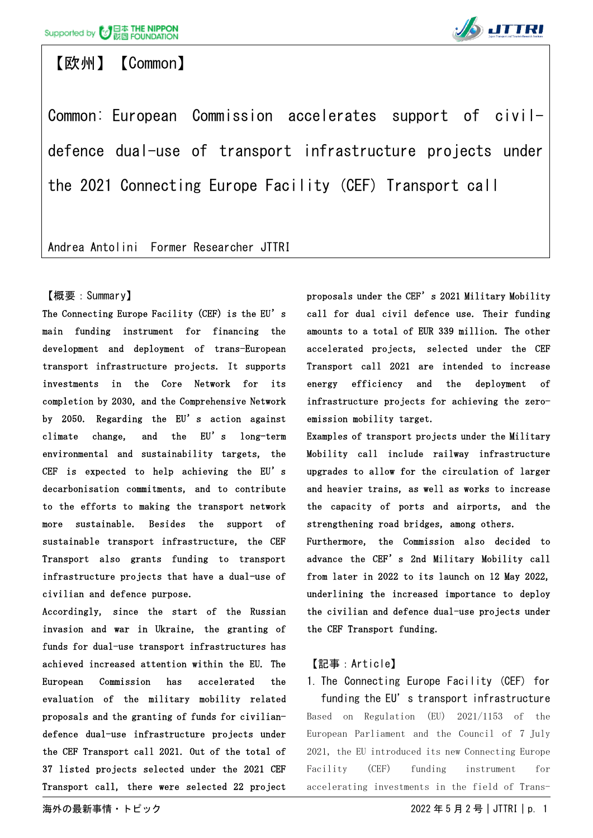

## 【欧州】【Common】



Common: European Commission accelerates support of civildefence dual-use of transport infrastructure projects under the 2021 Connecting Europe Facility (CEF) Transport call

Andrea Antolini Former Researcher JTTRI

### 【概要:Summary】

The Connecting Europe Facility (CEF) is the EU's main funding instrument for financing the development and deployment of trans-European transport infrastructure projects. It supports investments in the Core Network for its completion by 2030, and the Comprehensive Network by 2050. Regarding the EU's action against climate change, and the EU's long-term environmental and sustainability targets, the CEF is expected to help achieving the EU's decarbonisation commitments, and to contribute to the efforts to making the transport network more sustainable. Besides the support of sustainable transport infrastructure, the CEF Transport also grants funding to transport infrastructure projects that have a dual-use of civilian and defence purpose.

Accordingly, since the start of the Russian invasion and war in Ukraine, the granting of funds for dual-use transport infrastructures has achieved increased attention within the EU. The European Commission has accelerated the evaluation of the military mobility related proposals and the granting of funds for civiliandefence dual-use infrastructure projects under the CEF Transport call 2021. Out of the total of 37 listed projects selected under the 2021 CEF Transport call, there were selected 22 project proposals under the CEF's 2021 Military Mobility call for dual civil defence use. Their funding amounts to a total of EUR 339 million. The other accelerated projects, selected under the CEF Transport call 2021 are intended to increase energy efficiency and the deployment of infrastructure projects for achieving the zeroemission mobility target.

Examples of transport projects under the Military Mobility call include railway infrastructure upgrades to allow for the circulation of larger and heavier trains, as well as works to increase the capacity of ports and airports, and the strengthening road bridges, among others.

Furthermore, the Commission also decided to advance the CEF's 2nd Military Mobility call from later in 2022 to its launch on 12 May 2022, underlining the increased importance to deploy the civilian and defence dual-use projects under the CEF Transport funding.

### 【記事:Article】

1. The Connecting Europe Facility (CEF) for funding the EU's transport infrastructure Based on Regulation (EU) 2021/1153 of the European Parliament and the Council of 7 July 2021, the EU introduced its new Connecting Europe Facility (CEF) funding instrument for accelerating investments in the field of Trans-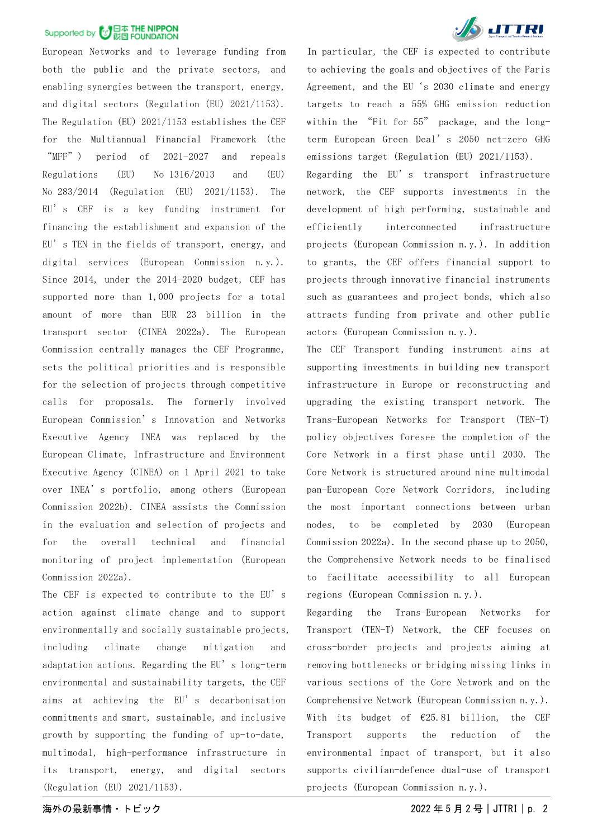European Networks and to leverage funding from both the public and the private sectors, and enabling synergies between the transport, energy, and digital sectors (Regulation (EU) 2021/1153). The Regulation (EU) 2021/1153 establishes the CEF for the Multiannual Financial Framework (the "MFF") period of 2021-2027 and repeals Regulations (EU) No 1316/2013 and (EU) No 283/2014 (Regulation (EU) 2021/1153). The EU's CEF is a key funding instrument for financing the establishment and expansion of the EU's TEN in the fields of transport, energy, and digital services (European Commission n.y.). Since 2014, under the 2014-2020 budget, CEF has supported more than 1,000 projects for a total amount of more than EUR 23 billion in the transport sector (CINEA 2022a). The European Commission centrally manages the CEF Programme, sets the political priorities and is responsible for the selection of projects through competitive calls for proposals. The formerly involved European Commission's Innovation and Networks Executive Agency INEA was replaced by the European Climate, Infrastructure and Environment Executive Agency (CINEA) on 1 April 2021 to take over INEA's portfolio, among others (European Commission 2022b). CINEA assists the Commission in the evaluation and selection of projects and for the overall technical and financial monitoring of project implementation (European Commission 2022a).

The CEF is expected to contribute to the EU's action against climate change and to support environmentally and socially sustainable projects, including climate change mitigation and adaptation actions. Regarding the EU's long-term environmental and sustainability targets, the CEF aims at achieving the EU's decarbonisation commitments and smart, sustainable, and inclusive growth by supporting the funding of up-to-date, multimodal, high-performance infrastructure in its transport, energy, and digital sectors (Regulation (EU) 2021/1153).



In particular, the CEF is expected to contribute to achieving the goals and objectives of the Paris Agreement, and the EU's 2030 climate and energy targets to reach a 55% GHG emission reduction within the "Fit for 55" package, and the longterm European Green Deal's 2050 net-zero GHG emissions target (Regulation (EU) 2021/1153).

Regarding the EU's transport infrastructure network, the CEF supports investments in the development of high performing, sustainable and efficiently interconnected infrastructure projects (European Commission n.y.). In addition to grants, the CEF offers financial support to projects through innovative financial instruments such as guarantees and project bonds, which also attracts funding from private and other public actors (European Commission n.y.).

The CEF Transport funding instrument aims at supporting investments in building new transport infrastructure in Europe or reconstructing and upgrading the existing transport network. The Trans-European Networks for Transport (TEN-T) policy objectives foresee the completion of the Core Network in a first phase until 2030. The Core Network is structured around nine multimodal pan-European Core Network Corridors, including the most important connections between urban nodes, to be completed by 2030 (European Commission 2022a). In the second phase up to 2050, the Comprehensive Network needs to be finalised to facilitate accessibility to all European regions (European Commission n.y.).

Regarding the Trans-European Networks for Transport (TEN-T) Network, the CEF focuses on cross-border projects and projects aiming at removing bottlenecks or bridging missing links in various sections of the Core Network and on the Comprehensive Network (European Commission n.y.). With its budget of  $\epsilon$ 25.81 billion, the CEF Transport supports the reduction of the environmental impact of transport, but it also supports civilian-defence dual-use of transport projects (European Commission n.y.).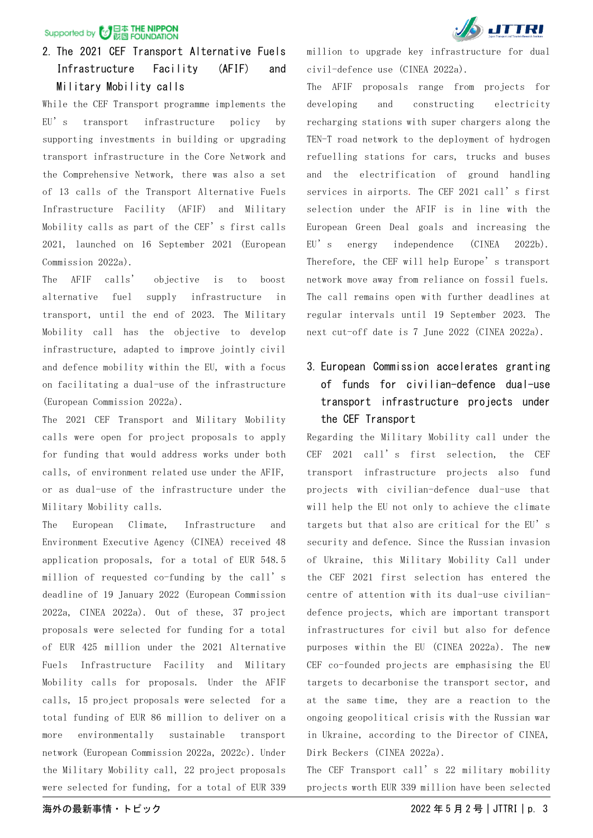### 2. The 2021 CEF Transport Alternative Fuels Infrastructure Facility (AFIF) and Military Mobility calls

While the CEF Transport programme implements the EU's transport infrastructure policy by supporting investments in building or upgrading transport infrastructure in the Core Network and the Comprehensive Network, there was also a set of 13 calls of the Transport Alternative Fuels Infrastructure Facility (AFIF) and Military Mobility calls as part of the CEF's first calls 2021, launched on 16 September 2021 (European Commission 2022a).

The AFIF calls' objective is to boost alternative fuel supply infrastructure in transport, until the end of 2023. The Military Mobility call has the objective to develop infrastructure, adapted to improve jointly civil and defence mobility within the EU, with a focus on facilitating a dual-use of the infrastructure (European Commission 2022a).

The 2021 CEF Transport and Military Mobility calls were open for project proposals to apply for funding that would address works under both calls, of environment related use under the AFIF, or as dual-use of the infrastructure under the Military Mobility calls.

The European Climate, Infrastructure and Environment Executive Agency (CINEA) received 48 application proposals, for a total of EUR 548.5 million of requested co-funding by the call's deadline of 19 January 2022 (European Commission 2022a, CINEA 2022a). Out of these, 37 project proposals were selected for funding for a total of EUR 425 million under the 2021 Alternative Fuels Infrastructure Facility and Military Mobility calls for proposals. Under the AFIF calls, 15 project proposals were selected for a total funding of EUR 86 million to deliver on a more environmentally sustainable transport network (European Commission 2022a, 2022c). Under the Military Mobility call, 22 project proposals were selected for funding, for a total of EUR 339

million to upgrade key infrastructure for dual civil-defence use (CINEA 2022a).

The AFIF proposals range from projects for developing and constructing electricity recharging stations with super chargers along the TEN-T road network to the deployment of hydrogen refuelling stations for cars, trucks and buses and the electrification of ground handling services in airports. The CEF 2021 call's first selection under the AFIF is in line with the European Green Deal goals and increasing the EU's energy independence (CINEA 2022b). Therefore, the CEF will help Europe's transport network move away from reliance on fossil fuels. The call remains open with further deadlines at regular intervals until 19 September 2023. The next cut-off date is 7 June 2022 (CINEA 2022a).

### 3. European Commission accelerates granting of funds for civilian-defence dual-use transport infrastructure projects under the CEF Transport

Regarding the Military Mobility call under the CEF 2021 call's first selection, the CEF transport infrastructure projects also fund projects with civilian-defence dual-use that will help the EU not only to achieve the climate targets but that also are critical for the EU's security and defence. Since the Russian invasion of Ukraine, this Military Mobility Call under the CEF 2021 first selection has entered the centre of attention with its dual-use civiliandefence projects, which are important transport infrastructures for civil but also for defence purposes within the EU (CINEA 2022a). The new CEF co-founded projects are emphasising the EU targets to decarbonise the transport sector, and at the same time, they are a reaction to the ongoing geopolitical crisis with the Russian war in Ukraine, according to the Director of CINEA, Dirk Beckers (CINEA 2022a).

The CEF Transport call's 22 military mobility projects worth EUR 339 million have been selected

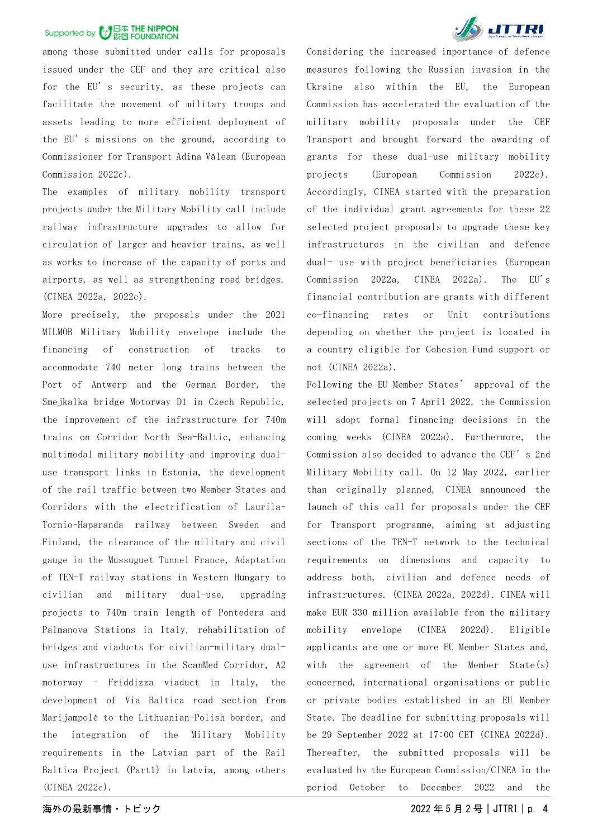among those submitted under calls for proposals issued under the CEF and they are critical also for the EU's security, as these projects can facilitate the movement of military troops and assets leading to more efficient deployment of the EU's missions on the ground, according to Commissioner for Transport Adina Vălean (European Commission 2022c).

The examples of military mobility transport projects under the Military Mobility call include railway infrastructure upgrades to allow for circulation of larger and heavier trains, as well as works to increase of the capacity of ports and airports, as well as strengthening road bridges. (CINEA 2022a, 2022c).

More precisely, the proposals under the 2021 MILMOB Military Mobility envelope include the financing of construction of tracks to accommodate 740 meter long trains between the Port of Antwerp and the German Border, the Smejkalka bridge Motorway D1 in Czech Republic, the improvement of the infrastructure for 740m trains on Corridor North Sea-Baltic, enhancing multimodal military mobility and improving dualuse transport links in Estonia, the development of the rail traffic between two Member States and Corridors with the electrification of Laurila– Tornio–Haparanda railway between Sweden and Finland, the clearance of the military and civil gauge in the Mussuguet Tunnel France, Adaptation of TEN-T railway stations in Western Hungary to civilian and military dual-use, upgrading projects to 740m train length of Pontedera and Palmanova Stations in Italy, rehabilitation of bridges and viaducts for civilian-military dualuse infrastructures in the ScanMed Corridor, A2 motorway – Friddizza viaduct in Italy, the development of Via Baltica road section from Marijampolė to the Lithuanian-Polish border, and the integration of the Military Mobility requirements in the Latvian part of the Rail Baltica Project (Part1) in Latvia, among others (CINEA 2022c).



Considering the increased importance of defence measures following the Russian invasion in the Ukraine also within the EU, the European Commission has accelerated the evaluation of the military mobility proposals under the CEF Transport and brought forward the awarding of grants for these dual-use military mobility projects (European Commission 2022c). Accordingly, CINEA started with the preparation of the individual grant agreements for these 22 selected project proposals to upgrade these key infrastructures in the civilian and defence dual- use with project beneficiaries (European Commission 2022a, CINEA 2022a). The EU's financial contribution are grants with different co-financing rates or Unit contributions depending on whether the project is located in a country eligible for Cohesion Fund support or not (CINEA 2022a).

Following the EU Member States' approval of the selected projects on 7 April 2022, the Commission will adopt formal financing decisions in the coming weeks (CINEA 2022a). Furthermore, the Commission also decided to advance the CEF's 2nd Military Mobility call. On 12 May 2022, earlier than originally planned, CINEA announced the launch of this call for proposals under the CEF for Transport programme, aiming at adjusting sections of the TEN-T network to the technical requirements on dimensions and capacity to address both, civilian and defence needs of infrastructures. (CINEA 2022a, 2022d). CINEA will make EUR 330 million available from the military mobility envelope (CINEA 2022d). Eligible applicants are one or more EU Member States and, with the agreement of the Member State(s) concerned, international organisations or public or private bodies established in an EU Member State. The deadline for submitting proposals will be 29 September 2022 at 17:00 CET (CINEA 2022d). Thereafter, the submitted proposals will be evaluated by the European Commission/CINEA in the period October to December 2022 and the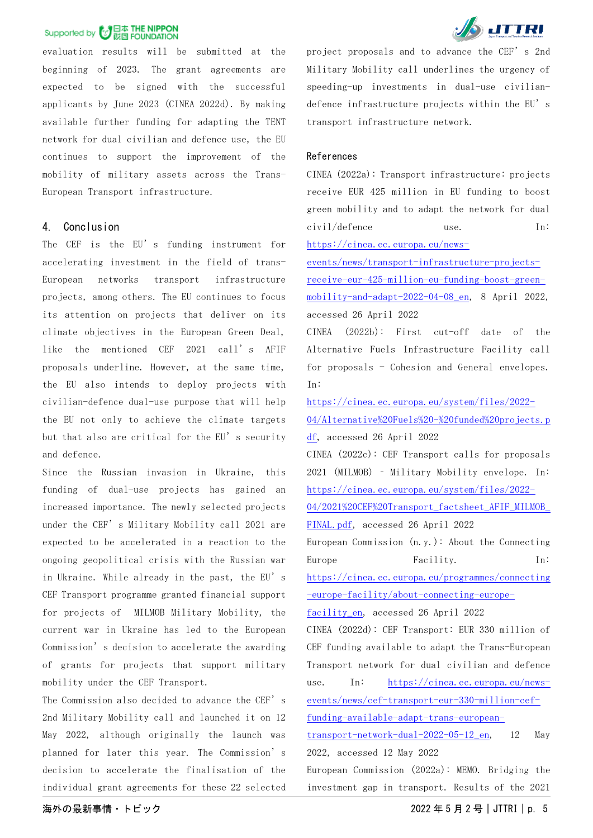evaluation results will be submitted at the beginning of 2023. The grant agreements are expected to be signed with the successful applicants by June 2023 (CINEA 2022d). By making available further funding for adapting the TENT network for dual civilian and defence use, the EU continues to support the improvement of the mobility of military assets across the Trans-European Transport infrastructure.

#### 4. Conclusion

The CEF is the EU's funding instrument for accelerating investment in the field of trans-European networks transport infrastructure projects, among others. The EU continues to focus its attention on projects that deliver on its climate objectives in the European Green Deal, like the mentioned CEF 2021 call's AFIF proposals underline. However, at the same time, the EU also intends to deploy projects with civilian-defence dual-use purpose that will help the EU not only to achieve the climate targets but that also are critical for the EU's security and defence.

Since the Russian invasion in Ukraine, this funding of dual-use projects has gained an increased importance. The newly selected projects under the CEF's Military Mobility call 2021 are expected to be accelerated in a reaction to the ongoing geopolitical crisis with the Russian war in Ukraine. While already in the past, the EU's CEF Transport programme granted financial support for projects of MILMOB Military Mobility, the current war in Ukraine has led to the European Commission's decision to accelerate the awarding of grants for projects that support military mobility under the CEF Transport.

The Commission also decided to advance the CEF's 2nd Military Mobility call and launched it on 12 May 2022, although originally the launch was planned for later this year. The Commission's decision to accelerate the finalisation of the individual grant agreements for these 22 selected



project proposals and to advance the CEF's 2nd Military Mobility call underlines the urgency of speeding-up investments in dual-use civiliandefence infrastructure projects within the EU's transport infrastructure network.

#### References

CINEA (2022a): Transport infrastructure: projects receive EUR 425 million in EU funding to boost green mobility and to adapt the network for dual civil/defence use. In: [https://cinea.ec.europa.eu/news-](https://cinea.ec.europa.eu/news-events/news/transport-infrastructure-projects-receive-eur-425-million-eu-funding-boost-green-mobility-and-adapt-2022-04-08_en)

[events/news/transport-infrastructure-projects](https://cinea.ec.europa.eu/news-events/news/transport-infrastructure-projects-receive-eur-425-million-eu-funding-boost-green-mobility-and-adapt-2022-04-08_en)[receive-eur-425-million-eu-funding-boost-green](https://cinea.ec.europa.eu/news-events/news/transport-infrastructure-projects-receive-eur-425-million-eu-funding-boost-green-mobility-and-adapt-2022-04-08_en)[mobility-and-adapt-2022-04-08\\_en,](https://cinea.ec.europa.eu/news-events/news/transport-infrastructure-projects-receive-eur-425-million-eu-funding-boost-green-mobility-and-adapt-2022-04-08_en) 8 April 2022, accessed 26 April 2022

CINEA (2022b): First cut-off date of the Alternative Fuels Infrastructure Facility call for proposals - Cohesion and General envelopes. In:

[https://cinea.ec.europa.eu/system/files/2022-](https://cinea.ec.europa.eu/system/files/2022-04/Alternative%20Fuels%20-%20funded%20projects.pdf)

[04/Alternative%20Fuels%20-%20funded%20projects.p](https://cinea.ec.europa.eu/system/files/2022-04/Alternative%20Fuels%20-%20funded%20projects.pdf) [df,](https://cinea.ec.europa.eu/system/files/2022-04/Alternative%20Fuels%20-%20funded%20projects.pdf) accessed 26 April 2022

CINEA (2022c): CEF Transport calls for proposals 2021 (MILMOB) – Military Mobility envelope. In: [https://cinea.ec.europa.eu/system/files/2022-](https://cinea.ec.europa.eu/system/files/2022-04/2021%20CEF%20Transport_factsheet_AFIF_MILMOB_FINAL.pdf)

04/2021%20CEF%20Transport\_factsheet\_AFIF\_MILMOB

[FINAL.pdf,](https://cinea.ec.europa.eu/system/files/2022-04/2021%20CEF%20Transport_factsheet_AFIF_MILMOB_FINAL.pdf) accessed 26 April 2022

European Commission (n.y.): About the Connecting Europe Facility. In:

[https://cinea.ec.europa.eu/programmes/connecting](https://cinea.ec.europa.eu/programmes/connecting-europe-facility/about-connecting-europe-facility_en) [-europe-facility/about-connecting-europe-](https://cinea.ec.europa.eu/programmes/connecting-europe-facility/about-connecting-europe-facility_en)

[facility\\_en,](https://cinea.ec.europa.eu/programmes/connecting-europe-facility/about-connecting-europe-facility_en) accessed 26 April 2022

CINEA (2022d): CEF Transport: EUR 330 million of CEF funding available to adapt the Trans-European Transport network for dual civilian and defence use. In: [https://cinea.ec.europa.eu/news](https://cinea.ec.europa.eu/news-events/news/cef-transport-eur-330-million-cef-funding-available-adapt-trans-european-transport-network-dual-2022-05-12_en)[events/news/cef-transport-eur-330-million-cef](https://cinea.ec.europa.eu/news-events/news/cef-transport-eur-330-million-cef-funding-available-adapt-trans-european-transport-network-dual-2022-05-12_en)[funding-available-adapt-trans-european-](https://cinea.ec.europa.eu/news-events/news/cef-transport-eur-330-million-cef-funding-available-adapt-trans-european-transport-network-dual-2022-05-12_en)

[transport-network-dual-2022-05-12\\_en,](https://cinea.ec.europa.eu/news-events/news/cef-transport-eur-330-million-cef-funding-available-adapt-trans-european-transport-network-dual-2022-05-12_en) 12 May 2022, accessed 12 May 2022

European Commission (2022a): MEMO. Bridging the investment gap in transport. Results of the 2021